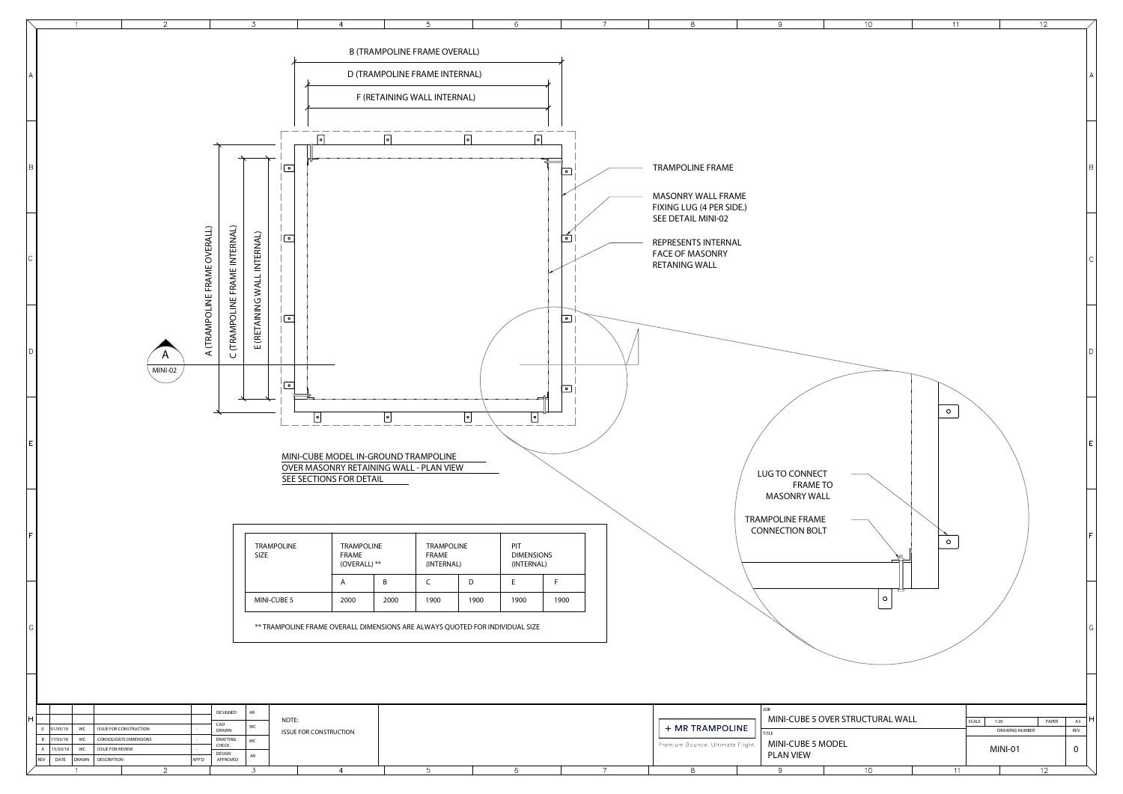